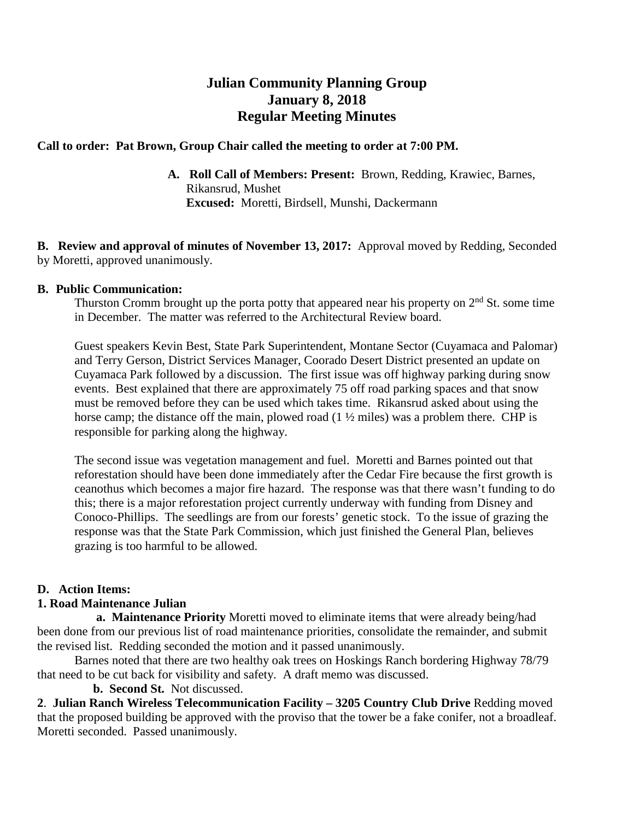# **Julian Community Planning Group January 8, 2018 Regular Meeting Minutes**

### **Call to order: Pat Brown, Group Chair called the meeting to order at 7:00 PM.**

**A. Roll Call of Members: Present:** Brown, Redding, Krawiec, Barnes, Rikansrud, Mushet **Excused:** Moretti, Birdsell, Munshi, Dackermann

**B. Review and approval of minutes of November 13, 2017:** Approval moved by Redding, Seconded by Moretti, approved unanimously.

#### **B. Public Communication:**

Thurston Cromm brought up the porta potty that appeared near his property on  $2<sup>nd</sup>$  St. some time in December. The matter was referred to the Architectural Review board.

Guest speakers Kevin Best, State Park Superintendent, Montane Sector (Cuyamaca and Palomar) and Terry Gerson, District Services Manager, Coorado Desert District presented an update on Cuyamaca Park followed by a discussion. The first issue was off highway parking during snow events. Best explained that there are approximately 75 off road parking spaces and that snow must be removed before they can be used which takes time. Rikansrud asked about using the horse camp; the distance off the main, plowed road  $(1 \frac{1}{2})$  miles) was a problem there. CHP is responsible for parking along the highway.

The second issue was vegetation management and fuel. Moretti and Barnes pointed out that reforestation should have been done immediately after the Cedar Fire because the first growth is ceanothus which becomes a major fire hazard. The response was that there wasn't funding to do this; there is a major reforestation project currently underway with funding from Disney and Conoco-Phillips. The seedlings are from our forests' genetic stock. To the issue of grazing the response was that the State Park Commission, which just finished the General Plan, believes grazing is too harmful to be allowed.

## **D. Action Items:**

#### **1. Road Maintenance Julian**

 **a. Maintenance Priority** Moretti moved to eliminate items that were already being/had been done from our previous list of road maintenance priorities, consolidate the remainder, and submit the revised list. Redding seconded the motion and it passed unanimously.

Barnes noted that there are two healthy oak trees on Hoskings Ranch bordering Highway 78/79 that need to be cut back for visibility and safety. A draft memo was discussed.

 **b. Second St.** Not discussed.

**2**. **Julian Ranch Wireless Telecommunication Facility – 3205 Country Club Drive** Redding moved that the proposed building be approved with the proviso that the tower be a fake conifer, not a broadleaf. Moretti seconded. Passed unanimously.